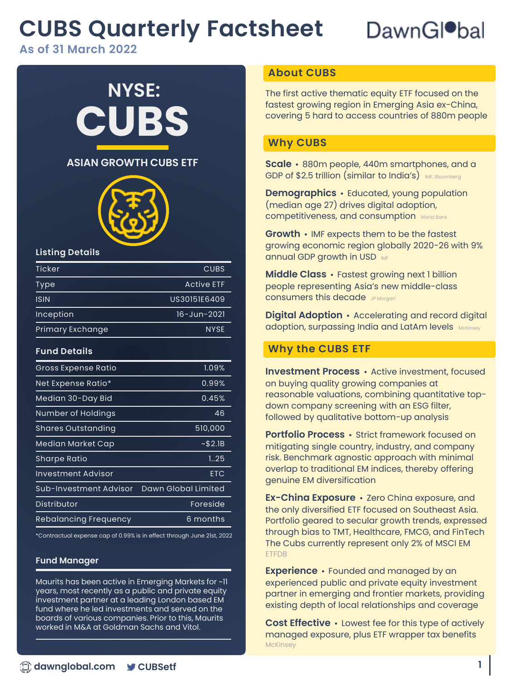## **CUBS Quarterly Factsheet**

## DawnGl<sup>o</sup>bal

**As of 31 March 2022**

# **CUBS NYSE:**



#### **Listing Details**

| Ticker           | CUBS              |
|------------------|-------------------|
| Type             | <b>Active ETF</b> |
| <b>ISIN</b>      | US30151E6409      |
| Inception        | 16-Jun-2021       |
| Primary Exchange | <b>NYSE</b>       |

#### **Fund Details**

| Gross Expense Ratio       | 1.09%               |
|---------------------------|---------------------|
| Net Expense Ratio*        | 0.99%               |
| Median 30-Day Bid         | 0.45%               |
| Number of Holdings        | 46                  |
| <b>Shares Outstanding</b> | 510,000             |
| Median Market Cap         | ~52.1B              |
| Sharpe Ratio              | 1.25                |
| Investment Advisor        | <b>ETC</b>          |
| Sub-Investment Advisor    | Dawn Global Limited |
| Distributor               | Foreside            |
| Rebalancing Frequency     | 6 months            |
|                           |                     |

\*Contractual expense cap of 0.99% is in effect through June 21st, 2022

#### **Fund Manager**

Maurits has been active in Emerging Markets for ~11 years, most recently as a public and private equity investment partner at a leading London based EM fund where he led investments and served on the boards of various companies. Prior to this, Maurits worked in M&A at Goldman Sachs and Vitol.

#### **About CUBS**

The first active thematic equity ETF focused on the fastest growing region in Emerging Asia ex-China, covering 5 hard to access countries of 880m people

#### **Why CUBS**

**ASIAN GROWTH CUBS ETF** Scale · 880m people, 440m smartphones, and a GDP of \$2.5 trillion (similar to India's) MF, Bloomberg

> **Demographics •** Educated, young population (median age 27) drives digital adoption, competitiveness, and consumption World Bank

**Growth •** IMF expects them to be the fastest growing economic region globally 2020-26 with 9% **annual GDP growth in USD IMF** 

**Middle Class •** Fastest growing next 1 billion people representing Asia's new middle-class consumers this decade JP Morgani

**Digital Adoption •** Accelerating and record digital adoption, surpassing India and LatAm levels McKinsey

### **Why the CUBS ETF**

**Investment Process •** Active investment, focused on buying quality growing companies at reasonable valuations, combining quantitative topdown company screening with an ESG filter, followed by qualitative bottom-up analysis

**Portfolio Process •** Strict framework focused on mitigating single country, industry, and company risk. Benchmark agnostic approach with minimal overlap to traditional EM indices, thereby offering genuine EM diversification

**Ex-China Exposure •** Zero China exposure, and the only diversified ETF focused on Southeast Asia. Portfolio geared to secular growth trends, expressed through bias to TMT, Healthcare, FMCG, and FinTech The Cubs currently represent only 2% of MSCI EM ETFDB

**Experience •** Founded and managed by an experienced public and private equity investment partner in emerging and frontier markets, providing existing depth of local relationships and coverage

**Cost Effective •** Lowest fee for this type of actively managed exposure, plus ETF wrapper tax benefits **McKinsey**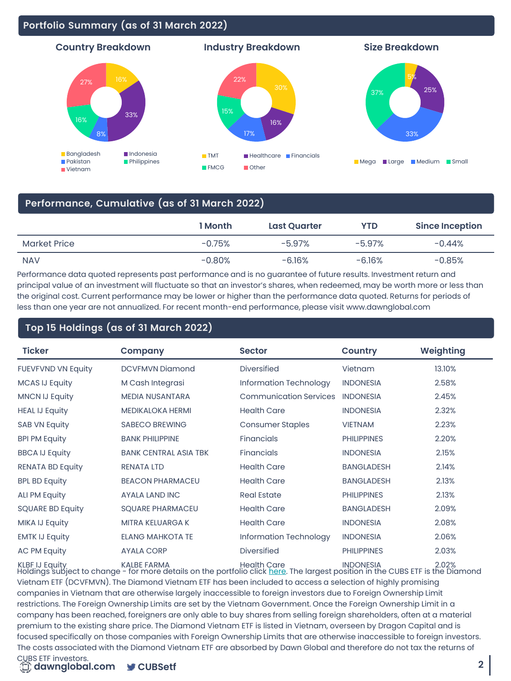#### **Portfolio Summary (as of 31 March 2022)**



#### **Performance, Cumulative (as of 31 March 2022)**

|              | 1 Month  | <b>Last Quarter</b> | <b>YTD</b> | <b>Since Inception</b> |
|--------------|----------|---------------------|------------|------------------------|
| Market Price | $-0.75%$ | $-5.97%$            | $-5.97%$   | $-0.44%$               |
| <b>NAV</b>   | $-0.80%$ | $-6.16%$            | -6.16%     | $-0.85%$               |

Performance data quoted represents past performance and is no guarantee of future results. Investment return and principal value of an investment will fluctuate so that an investor's shares, when redeemed, may be worth more or less than the original cost. Current performance may be lower or higher than the performance data quoted. Returns for periods of less than one year are not annualized. For recent month-end performance, please visit www.dawnglobal.com

#### **Top 15 Holdings (as of 31 March 2022)**

| <b>Ticker</b>             | Company                      | <b>Sector</b>                 | <b>Country</b>     | Weighting |
|---------------------------|------------------------------|-------------------------------|--------------------|-----------|
| <b>FUEVFVND VN Equity</b> | <b>DCVFMVN Diamond</b>       | <b>Diversified</b>            | Vietnam            | 13.10%    |
| <b>MCAS IJ Equity</b>     | M Cash Integrasi             | Information Technology        | <b>INDONESIA</b>   | 2.58%     |
| <b>MNCN IJ Equity</b>     | <b>MEDIA NUSANTARA</b>       | <b>Communication Services</b> | <b>INDONESIA</b>   | 2.45%     |
| <b>HEAL IJ Equity</b>     | <b>MEDIKALOKA HERMI</b>      | <b>Health Care</b>            | <b>INDONESIA</b>   | 2.32%     |
| <b>SAB VN Equity</b>      | <b>SABECO BREWING</b>        | <b>Consumer Staples</b>       | <b>VIETNAM</b>     | 2.23%     |
| <b>BPI PM Equity</b>      | <b>BANK PHILIPPINE</b>       | <b>Financials</b>             | <b>PHILIPPINES</b> | 2.20%     |
| <b>BBCA IJ Equity</b>     | <b>BANK CENTRAL ASIA TBK</b> | <b>Financials</b>             | <b>INDONESIA</b>   | 2.15%     |
| <b>RENATA BD Equity</b>   | <b>RENATA LTD</b>            | <b>Health Care</b>            | <b>BANGLADESH</b>  | 2.14%     |
| <b>BPL BD Equity</b>      | <b>BEACON PHARMACEU</b>      | <b>Health Care</b>            | <b>BANGLADESH</b>  | 2.13%     |
| <b>ALI PM Equity</b>      | <b>AYALA LAND INC</b>        | <b>Real Estate</b>            | <b>PHILIPPINES</b> | 2.13%     |
| <b>SQUARE BD Equity</b>   | <b>SQUARE PHARMACEU</b>      | <b>Health Care</b>            | <b>BANGLADESH</b>  | 2.09%     |
| MIKA IJ Equity            | <b>MITRA KELUARGA K</b>      | <b>Health Care</b>            | <b>INDONESIA</b>   | 2.08%     |
| <b>EMTK IJ Equity</b>     | <b>ELANG MAHKOTA TE</b>      | Information Technology        | <b>INDONESIA</b>   | 2.06%     |
| <b>AC PM Equity</b>       | <b>AYALA CORP</b>            | <b>Diversified</b>            | <b>PHILIPPINES</b> | 2.03%     |
|                           |                              |                               |                    |           |

Holdings subject to change - for more details on the portfolio click [here](https://dawnglobal.com/cubs-etf#holdingsA). The largest position in the CUBS ETF is the Diamond KLBF IJ Equity KALBE FARMA Health Care INDONESIA 2.02% Vietnam ETF (DCVFMVN). The Diamond Vietnam ETF has been included to access a selection of highly promising companies in Vietnam that are otherwise largely inaccessible to foreign investors due to Foreign Ownership Limit restrictions. The Foreign Ownership Limits are set by the Vietnam Government. Once the Foreign Ownership Limit in a company has been reached, foreigners are only able to buy shares from selling foreign shareholders, often at a material premium to the existing share price. The Diamond Vietnam ETF is listed in Vietnam, overseen by Dragon Capital and is focused specifically on those companies with Foreign Ownership Limits that are otherwise inaccessible to foreign investors. The costs associated with the Diamond Vietnam ETF are absorbed by Dawn Global and therefore do not tax the returns of

#### CUBS ETF investors.

 $\Box$  dawnglobal.com **CUBSetf**